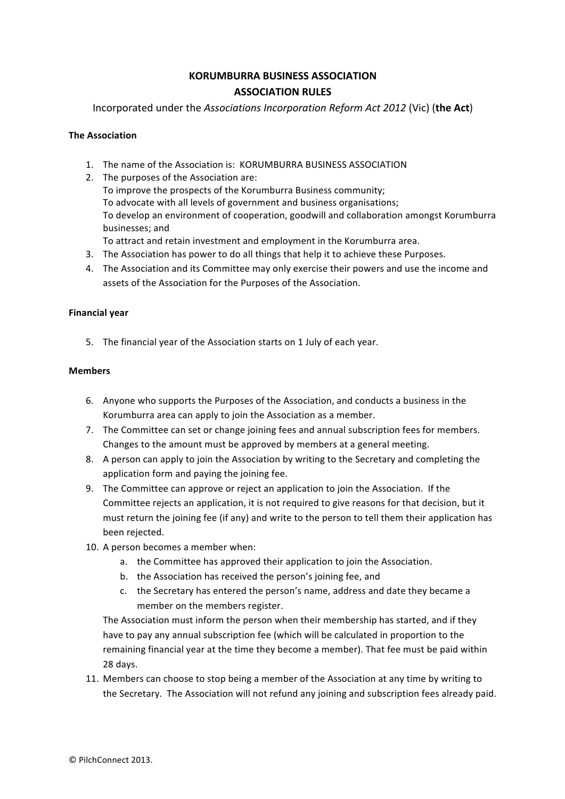# **KORUMBURRA BUSINESS ASSOCIATION ASSOCIATION RULES**

Incorporated under the *Associations Incorporation Reform Act 2012* (Vic) (the Act)

# **The Association**

- 1. The name of the Association is: KORUMBURRA BUSINESS ASSOCIATION
- 2. The purposes of the Association are: To improve the prospects of the Korumburra Business community; To advocate with all levels of government and business organisations; To develop an environment of cooperation, goodwill and collaboration amongst Korumburra businesses: and
- To attract and retain investment and employment in the Korumburra area.
- 3. The Association has power to do all things that help it to achieve these Purposes. 4. The Association and its Committee may only exercise their powers and use the income and
	- assets of the Association for the Purposes of the Association.

## **Financial year**

5. The financial year of the Association starts on 1 July of each year.

# **Members**

- 6. Anyone who supports the Purposes of the Association, and conducts a business in the Korumburra area can apply to join the Association as a member.
- 7. The Committee can set or change joining fees and annual subscription fees for members. Changes to the amount must be approved by members at a general meeting.
- 8. A person can apply to join the Association by writing to the Secretary and completing the application form and paying the joining fee.
- 9. The Committee can approve or reject an application to join the Association. If the Committee rejects an application, it is not required to give reasons for that decision, but it must return the joining fee (if any) and write to the person to tell them their application has been rejected.
- 10. A person becomes a member when:
	- a. the Committee has approved their application to join the Association.
	- b. the Association has received the person's joining fee, and
	- c. the Secretary has entered the person's name, address and date they became a member on the members register.

The Association must inform the person when their membership has started, and if they have to pay any annual subscription fee (which will be calculated in proportion to the remaining financial year at the time they become a member). That fee must be paid within 28 days.

11. Members can choose to stop being a member of the Association at any time by writing to the Secretary. The Association will not refund any joining and subscription fees already paid.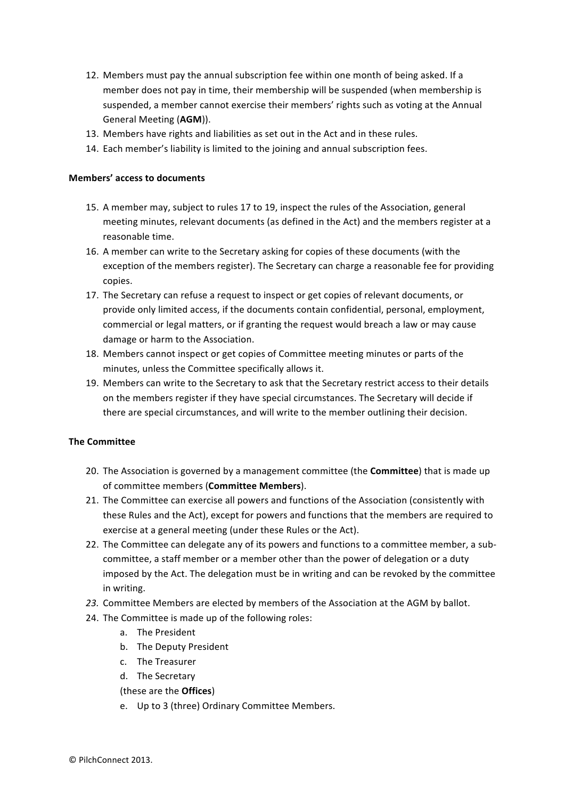- 12. Members must pay the annual subscription fee within one month of being asked. If a member does not pay in time, their membership will be suspended (when membership is suspended, a member cannot exercise their members' rights such as voting at the Annual General Meeting (AGM)).
- 13. Members have rights and liabilities as set out in the Act and in these rules.
- 14. Each member's liability is limited to the joining and annual subscription fees.

## **Members' access to documents**

- 15. A member may, subject to rules 17 to 19, inspect the rules of the Association, general meeting minutes, relevant documents (as defined in the Act) and the members register at a reasonable time.
- 16. A member can write to the Secretary asking for copies of these documents (with the exception of the members register). The Secretary can charge a reasonable fee for providing copies.
- 17. The Secretary can refuse a request to inspect or get copies of relevant documents, or provide only limited access, if the documents contain confidential, personal, employment, commercial or legal matters, or if granting the request would breach a law or may cause damage or harm to the Association.
- 18. Members cannot inspect or get copies of Committee meeting minutes or parts of the minutes, unless the Committee specifically allows it.
- 19. Members can write to the Secretary to ask that the Secretary restrict access to their details on the members register if they have special circumstances. The Secretary will decide if there are special circumstances, and will write to the member outlining their decision.

## **The Committee**

- 20. The Association is governed by a management committee (the **Committee**) that is made up of committee members (**Committee Members**).
- 21. The Committee can exercise all powers and functions of the Association (consistently with these Rules and the Act), except for powers and functions that the members are required to exercise at a general meeting (under these Rules or the Act).
- 22. The Committee can delegate any of its powers and functions to a committee member, a subcommittee, a staff member or a member other than the power of delegation or a duty imposed by the Act. The delegation must be in writing and can be revoked by the committee in writing.
- 23. Committee Members are elected by members of the Association at the AGM by ballot.
- 24. The Committee is made up of the following roles:
	- a. The President
	- b. The Deputy President
	- c. The Treasurer
	- d. The Secretary

(these are the **Offices**)

e. Up to 3 (three) Ordinary Committee Members.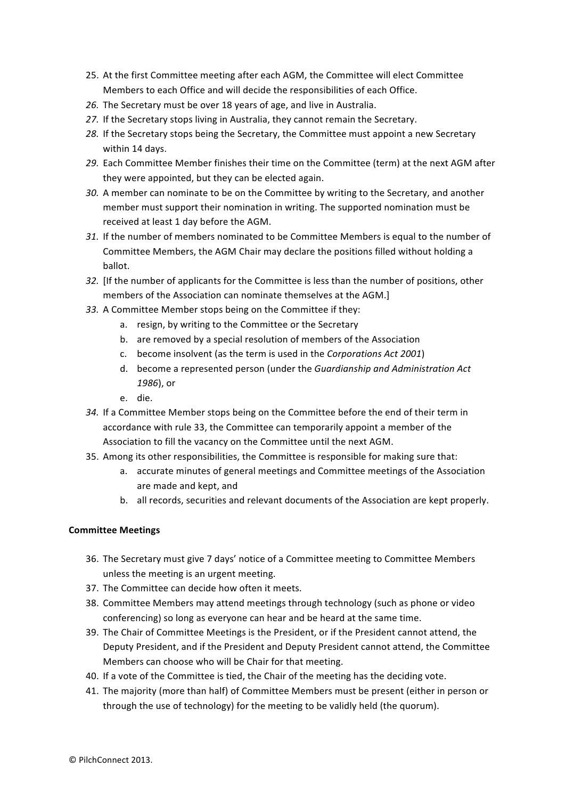- 25. At the first Committee meeting after each AGM, the Committee will elect Committee Members to each Office and will decide the responsibilities of each Office.
- 26. The Secretary must be over 18 years of age, and live in Australia.
- 27. If the Secretary stops living in Australia, they cannot remain the Secretary.
- 28. If the Secretary stops being the Secretary, the Committee must appoint a new Secretary within 14 days.
- 29. Each Committee Member finishes their time on the Committee (term) at the next AGM after they were appointed, but they can be elected again.
- 30. A member can nominate to be on the Committee by writing to the Secretary, and another member must support their nomination in writing. The supported nomination must be received at least 1 day before the AGM.
- *31.* If the number of members nominated to be Committee Members is equal to the number of Committee Members, the AGM Chair may declare the positions filled without holding a ballot.
- 32. [If the number of applicants for the Committee is less than the number of positions, other members of the Association can nominate themselves at the AGM.]
- 33. A Committee Member stops being on the Committee if they:
	- a. resign, by writing to the Committee or the Secretary
	- b. are removed by a special resolution of members of the Association
	- c. become insolvent (as the term is used in the *Corporations Act 2001*)
	- d. become a represented person (under the *Guardianship and Administration Act 1986*), or
	- e. die.
- 34. If a Committee Member stops being on the Committee before the end of their term in accordance with rule 33, the Committee can temporarily appoint a member of the Association to fill the vacancy on the Committee until the next AGM.
- 35. Among its other responsibilities, the Committee is responsible for making sure that:
	- a. accurate minutes of general meetings and Committee meetings of the Association are made and kept, and
	- b. all records, securities and relevant documents of the Association are kept properly.

## **Committee Meetings**

- 36. The Secretary must give 7 days' notice of a Committee meeting to Committee Members unless the meeting is an urgent meeting.
- 37. The Committee can decide how often it meets.
- 38. Committee Members may attend meetings through technology (such as phone or video conferencing) so long as everyone can hear and be heard at the same time.
- 39. The Chair of Committee Meetings is the President, or if the President cannot attend, the Deputy President, and if the President and Deputy President cannot attend, the Committee Members can choose who will be Chair for that meeting.
- 40. If a vote of the Committee is tied, the Chair of the meeting has the deciding vote.
- 41. The majority (more than half) of Committee Members must be present (either in person or through the use of technology) for the meeting to be validly held (the quorum).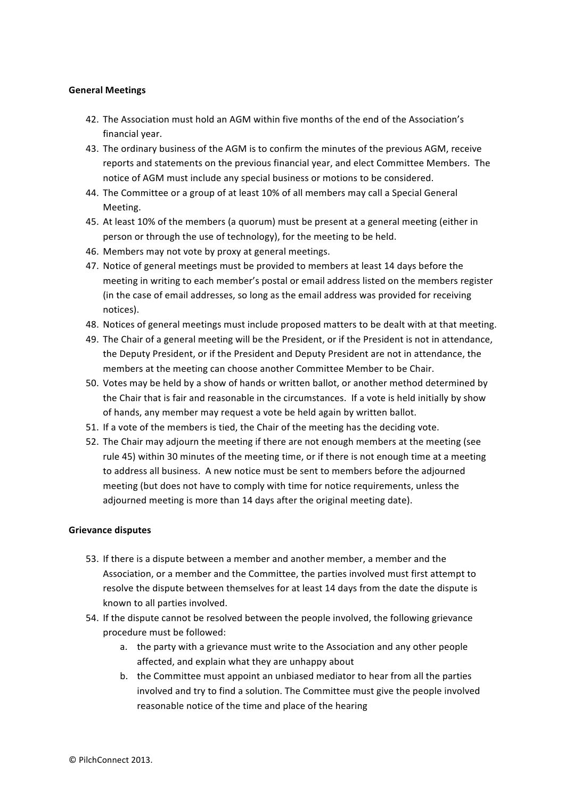## **General Meetings**

- 42. The Association must hold an AGM within five months of the end of the Association's financial year.
- 43. The ordinary business of the AGM is to confirm the minutes of the previous AGM, receive reports and statements on the previous financial year, and elect Committee Members. The notice of AGM must include any special business or motions to be considered.
- 44. The Committee or a group of at least 10% of all members may call a Special General Meeting.
- 45. At least 10% of the members (a quorum) must be present at a general meeting (either in person or through the use of technology), for the meeting to be held.
- 46. Members may not vote by proxy at general meetings.
- 47. Notice of general meetings must be provided to members at least 14 days before the meeting in writing to each member's postal or email address listed on the members register (in the case of email addresses, so long as the email address was provided for receiving notices).
- 48. Notices of general meetings must include proposed matters to be dealt with at that meeting.
- 49. The Chair of a general meeting will be the President, or if the President is not in attendance, the Deputy President, or if the President and Deputy President are not in attendance, the members at the meeting can choose another Committee Member to be Chair.
- 50. Votes may be held by a show of hands or written ballot, or another method determined by the Chair that is fair and reasonable in the circumstances. If a vote is held initially by show of hands, any member may request a vote be held again by written ballot.
- 51. If a vote of the members is tied, the Chair of the meeting has the deciding vote.
- 52. The Chair may adjourn the meeting if there are not enough members at the meeting (see rule 45) within 30 minutes of the meeting time, or if there is not enough time at a meeting to address all business. A new notice must be sent to members before the adjourned meeting (but does not have to comply with time for notice requirements, unless the adjourned meeting is more than 14 days after the original meeting date).

#### **Grievance disputes**

- 53. If there is a dispute between a member and another member, a member and the Association, or a member and the Committee, the parties involved must first attempt to resolve the dispute between themselves for at least 14 days from the date the dispute is known to all parties involved.
- 54. If the dispute cannot be resolved between the people involved, the following grievance procedure must be followed:
	- a. the party with a grievance must write to the Association and any other people affected, and explain what they are unhappy about
	- b. the Committee must appoint an unbiased mediator to hear from all the parties involved and try to find a solution. The Committee must give the people involved reasonable notice of the time and place of the hearing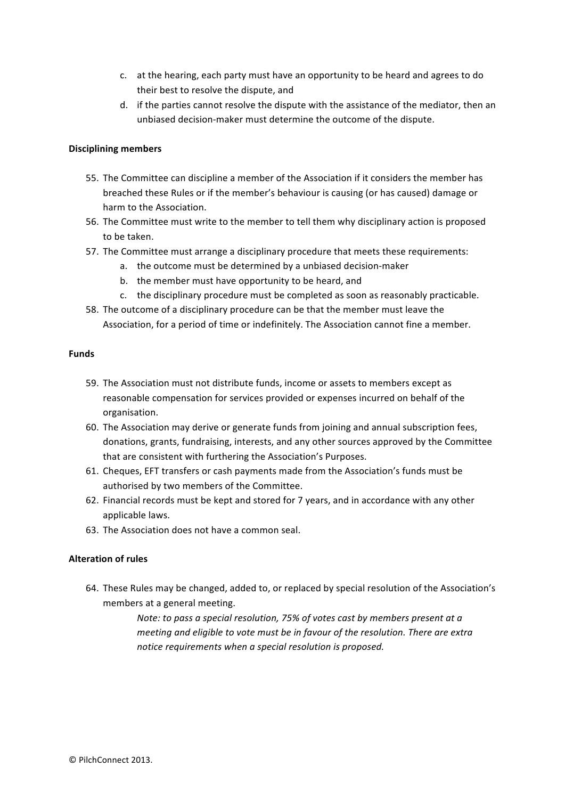- c. at the hearing, each party must have an opportunity to be heard and agrees to do their best to resolve the dispute, and
- d. if the parties cannot resolve the dispute with the assistance of the mediator, then an unbiased decision-maker must determine the outcome of the dispute.

#### **Disciplining members**

- 55. The Committee can discipline a member of the Association if it considers the member has breached these Rules or if the member's behaviour is causing (or has caused) damage or harm to the Association.
- 56. The Committee must write to the member to tell them why disciplinary action is proposed to be taken.
- 57. The Committee must arrange a disciplinary procedure that meets these requirements:
	- a. the outcome must be determined by a unbiased decision-maker
	- b. the member must have opportunity to be heard, and
	- c. the disciplinary procedure must be completed as soon as reasonably practicable.
- 58. The outcome of a disciplinary procedure can be that the member must leave the Association, for a period of time or indefinitely. The Association cannot fine a member.

#### **Funds**

- 59. The Association must not distribute funds, income or assets to members except as reasonable compensation for services provided or expenses incurred on behalf of the organisation.
- 60. The Association may derive or generate funds from joining and annual subscription fees, donations, grants, fundraising, interests, and any other sources approved by the Committee that are consistent with furthering the Association's Purposes.
- 61. Cheques, EFT transfers or cash payments made from the Association's funds must be authorised by two members of the Committee.
- 62. Financial records must be kept and stored for 7 years, and in accordance with any other applicable laws.
- 63. The Association does not have a common seal.

#### **Alteration of rules**

64. These Rules may be changed, added to, or replaced by special resolution of the Association's members at a general meeting.

> *Note:* to pass a special resolution, 75% of votes cast by members present at a *meeting and eligible to vote must be in favour of the resolution. There are extra notice requirements when a special resolution is proposed.*